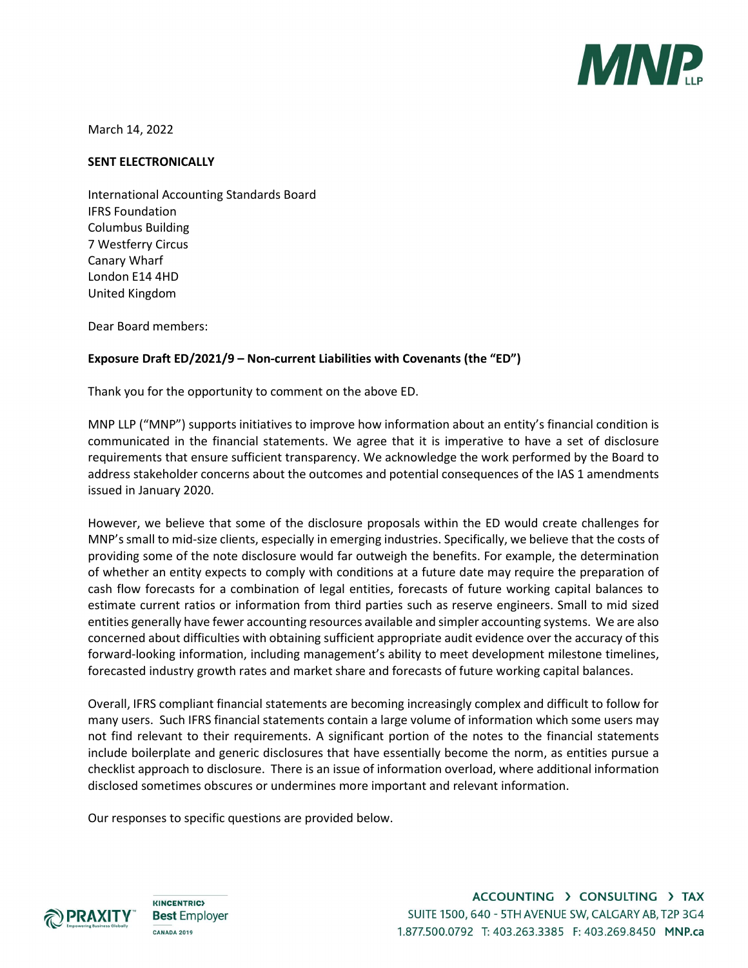

March 14, 2022

#### SENT ELECTRONICALLY

International Accounting Standards Board IFRS Foundation Columbus Building 7 Westferry Circus Canary Wharf London E14 4HD United Kingdom

Dear Board members:

### Exposure Draft ED/2021/9 – Non-current Liabilities with Covenants (the "ED")

Thank you for the opportunity to comment on the above ED.

MNP LLP ("MNP") supports initiatives to improve how information about an entity's financial condition is communicated in the financial statements. We agree that it is imperative to have a set of disclosure requirements that ensure sufficient transparency. We acknowledge the work performed by the Board to address stakeholder concerns about the outcomes and potential consequences of the IAS 1 amendments issued in January 2020.

However, we believe that some of the disclosure proposals within the ED would create challenges for MNP's small to mid-size clients, especially in emerging industries. Specifically, we believe that the costs of providing some of the note disclosure would far outweigh the benefits. For example, the determination of whether an entity expects to comply with conditions at a future date may require the preparation of cash flow forecasts for a combination of legal entities, forecasts of future working capital balances to estimate current ratios or information from third parties such as reserve engineers. Small to mid sized entities generally have fewer accounting resources available and simpler accounting systems. We are also concerned about difficulties with obtaining sufficient appropriate audit evidence over the accuracy of this forward-looking information, including management's ability to meet development milestone timelines, forecasted industry growth rates and market share and forecasts of future working capital balances.

Overall, IFRS compliant financial statements are becoming increasingly complex and difficult to follow for many users. Such IFRS financial statements contain a large volume of information which some users may not find relevant to their requirements. A significant portion of the notes to the financial statements include boilerplate and generic disclosures that have essentially become the norm, as entities pursue a checklist approach to disclosure. There is an issue of information overload, where additional information disclosed sometimes obscures or undermines more important and relevant information.

Our responses to specific questions are provided below.



**KINCENTRIC> Best Employer CANADA 2019**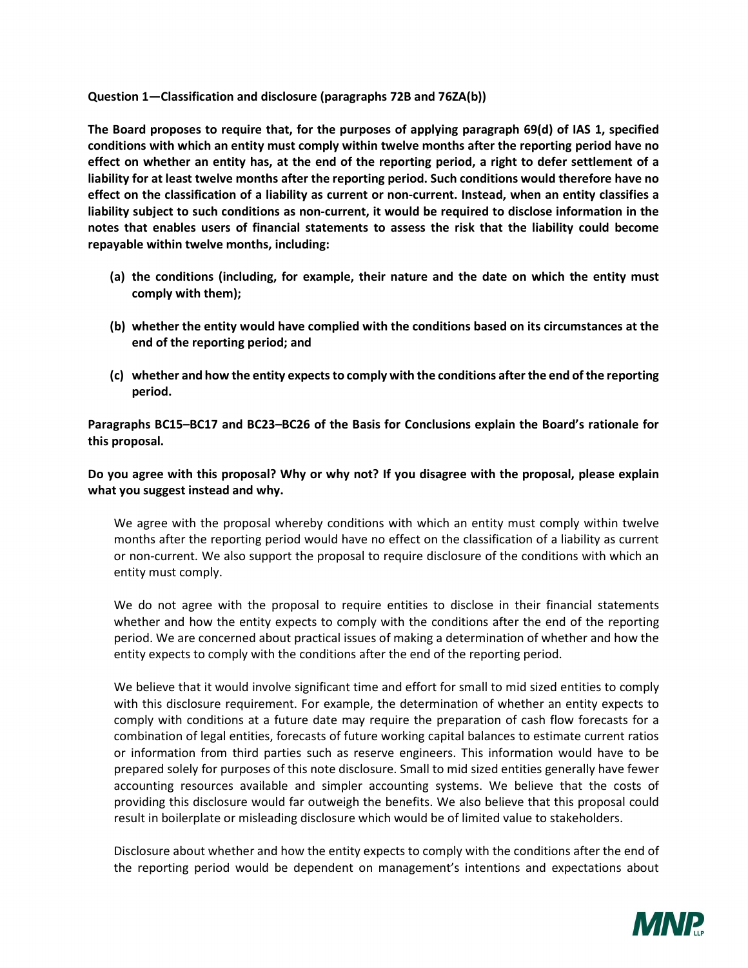#### Question 1—Classification and disclosure (paragraphs 72B and 76ZA(b))

The Board proposes to require that, for the purposes of applying paragraph 69(d) of IAS 1, specified conditions with which an entity must comply within twelve months after the reporting period have no effect on whether an entity has, at the end of the reporting period, a right to defer settlement of a liability for at least twelve months after the reporting period. Such conditions would therefore have no effect on the classification of a liability as current or non-current. Instead, when an entity classifies a liability subject to such conditions as non-current, it would be required to disclose information in the notes that enables users of financial statements to assess the risk that the liability could become repayable within twelve months, including:

- (a) the conditions (including, for example, their nature and the date on which the entity must comply with them);
- (b) whether the entity would have complied with the conditions based on its circumstances at the end of the reporting period; and
- (c) whether and how the entity expects to comply with the conditions after the end of the reporting period.

Paragraphs BC15–BC17 and BC23–BC26 of the Basis for Conclusions explain the Board's rationale for this proposal.

# Do you agree with this proposal? Why or why not? If you disagree with the proposal, please explain what you suggest instead and why.

We agree with the proposal whereby conditions with which an entity must comply within twelve months after the reporting period would have no effect on the classification of a liability as current or non-current. We also support the proposal to require disclosure of the conditions with which an entity must comply.

We do not agree with the proposal to require entities to disclose in their financial statements whether and how the entity expects to comply with the conditions after the end of the reporting period. We are concerned about practical issues of making a determination of whether and how the entity expects to comply with the conditions after the end of the reporting period.

We believe that it would involve significant time and effort for small to mid sized entities to comply with this disclosure requirement. For example, the determination of whether an entity expects to comply with conditions at a future date may require the preparation of cash flow forecasts for a combination of legal entities, forecasts of future working capital balances to estimate current ratios or information from third parties such as reserve engineers. This information would have to be prepared solely for purposes of this note disclosure. Small to mid sized entities generally have fewer accounting resources available and simpler accounting systems. We believe that the costs of providing this disclosure would far outweigh the benefits. We also believe that this proposal could result in boilerplate or misleading disclosure which would be of limited value to stakeholders.

Disclosure about whether and how the entity expects to comply with the conditions after the end of the reporting period would be dependent on management's intentions and expectations about

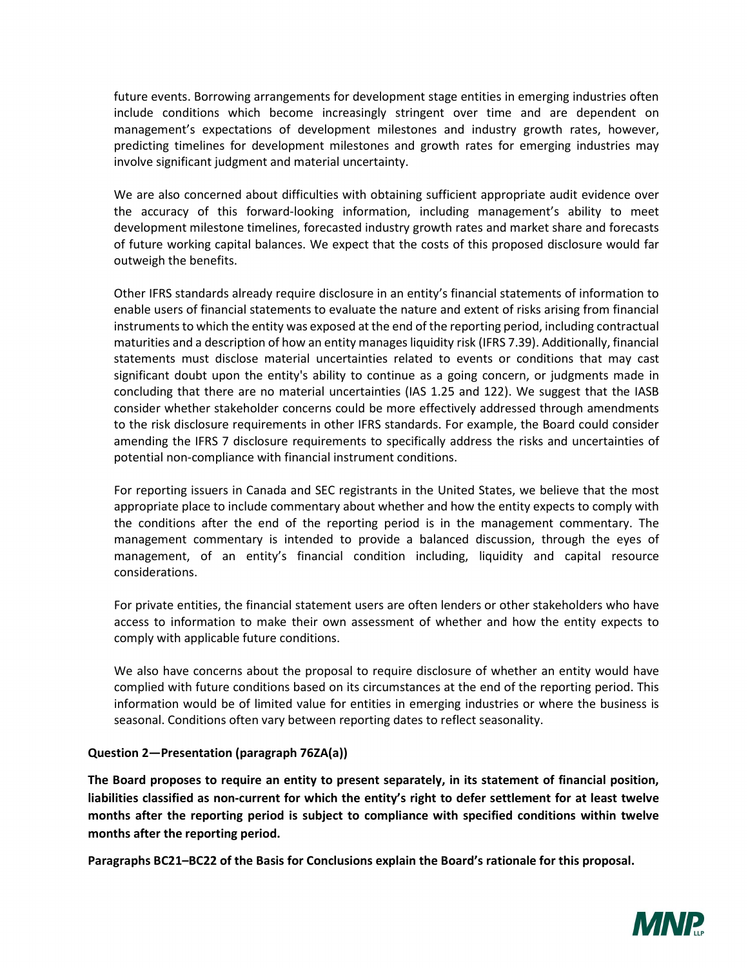future events. Borrowing arrangements for development stage entities in emerging industries often include conditions which become increasingly stringent over time and are dependent on management's expectations of development milestones and industry growth rates, however, predicting timelines for development milestones and growth rates for emerging industries may involve significant judgment and material uncertainty.

We are also concerned about difficulties with obtaining sufficient appropriate audit evidence over the accuracy of this forward-looking information, including management's ability to meet development milestone timelines, forecasted industry growth rates and market share and forecasts of future working capital balances. We expect that the costs of this proposed disclosure would far outweigh the benefits.

Other IFRS standards already require disclosure in an entity's financial statements of information to enable users of financial statements to evaluate the nature and extent of risks arising from financial instruments to which the entity was exposed at the end of the reporting period, including contractual maturities and a description of how an entity manages liquidity risk (IFRS 7.39). Additionally, financial statements must disclose material uncertainties related to events or conditions that may cast significant doubt upon the entity's ability to continue as a going concern, or judgments made in concluding that there are no material uncertainties (IAS 1.25 and 122). We suggest that the IASB consider whether stakeholder concerns could be more effectively addressed through amendments to the risk disclosure requirements in other IFRS standards. For example, the Board could consider amending the IFRS 7 disclosure requirements to specifically address the risks and uncertainties of potential non-compliance with financial instrument conditions.

For reporting issuers in Canada and SEC registrants in the United States, we believe that the most appropriate place to include commentary about whether and how the entity expects to comply with the conditions after the end of the reporting period is in the management commentary. The management commentary is intended to provide a balanced discussion, through the eyes of management, of an entity's financial condition including, liquidity and capital resource considerations.

For private entities, the financial statement users are often lenders or other stakeholders who have access to information to make their own assessment of whether and how the entity expects to comply with applicable future conditions.

We also have concerns about the proposal to require disclosure of whether an entity would have complied with future conditions based on its circumstances at the end of the reporting period. This information would be of limited value for entities in emerging industries or where the business is seasonal. Conditions often vary between reporting dates to reflect seasonality.

### Question 2—Presentation (paragraph 76ZA(a))

The Board proposes to require an entity to present separately, in its statement of financial position, liabilities classified as non-current for which the entity's right to defer settlement for at least twelve months after the reporting period is subject to compliance with specified conditions within twelve months after the reporting period.

Paragraphs BC21–BC22 of the Basis for Conclusions explain the Board's rationale for this proposal.

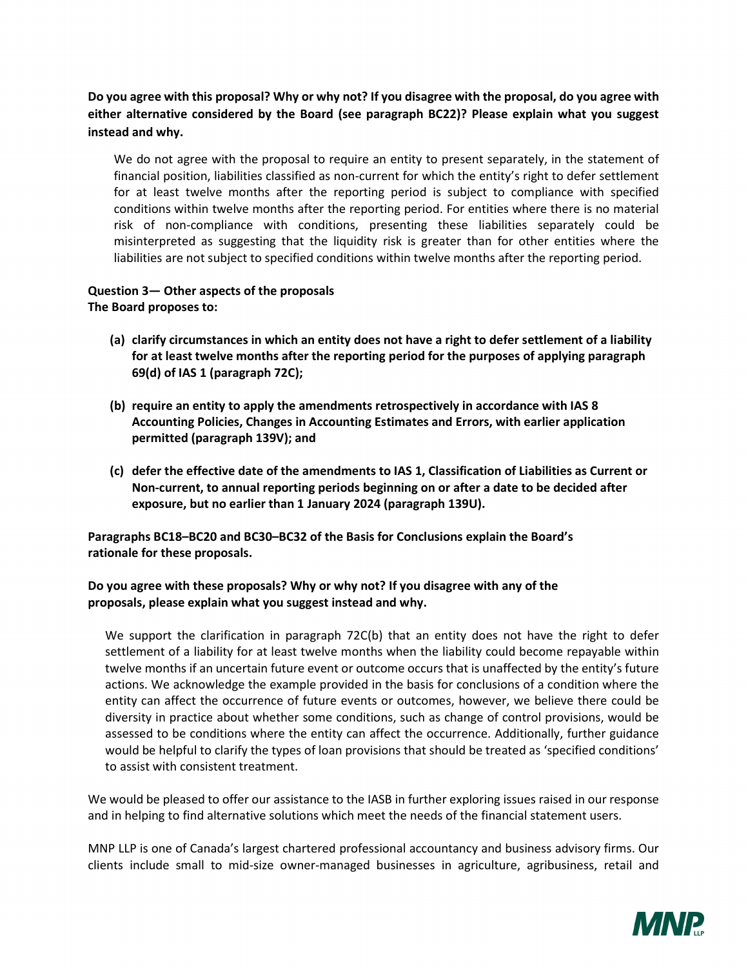Do you agree with this proposal? Why or why not? If you disagree with the proposal, do you agree with either alternative considered by the Board (see paragraph BC22)? Please explain what you suggest instead and why.

We do not agree with the proposal to require an entity to present separately, in the statement of financial position, liabilities classified as non-current for which the entity's right to defer settlement for at least twelve months after the reporting period is subject to compliance with specified conditions within twelve months after the reporting period. For entities where there is no material risk of non-compliance with conditions, presenting these liabilities separately could be misinterpreted as suggesting that the liquidity risk is greater than for other entities where the liabilities are not subject to specified conditions within twelve months after the reporting period.

# Question 3— Other aspects of the proposals The Board proposes to:

- (a) clarify circumstances in which an entity does not have a right to defer settlement of a liability for at least twelve months after the reporting period for the purposes of applying paragraph 69(d) of IAS 1 (paragraph 72C);
- (b) require an entity to apply the amendments retrospectively in accordance with IAS 8 Accounting Policies, Changes in Accounting Estimates and Errors, with earlier application permitted (paragraph 139V); and
- (c) defer the effective date of the amendments to IAS 1, Classification of Liabilities as Current or Non-current, to annual reporting periods beginning on or after a date to be decided after exposure, but no earlier than 1 January 2024 (paragraph 139U).

Paragraphs BC18–BC20 and BC30–BC32 of the Basis for Conclusions explain the Board's rationale for these proposals.

# Do you agree with these proposals? Why or why not? If you disagree with any of the proposals, please explain what you suggest instead and why.

We support the clarification in paragraph 72C(b) that an entity does not have the right to defer settlement of a liability for at least twelve months when the liability could become repayable within twelve months if an uncertain future event or outcome occurs that is unaffected by the entity's future actions. We acknowledge the example provided in the basis for conclusions of a condition where the entity can affect the occurrence of future events or outcomes, however, we believe there could be diversity in practice about whether some conditions, such as change of control provisions, would be assessed to be conditions where the entity can affect the occurrence. Additionally, further guidance would be helpful to clarify the types of loan provisions that should be treated as 'specified conditions' to assist with consistent treatment.

We would be pleased to offer our assistance to the IASB in further exploring issues raised in our response and in helping to find alternative solutions which meet the needs of the financial statement users.

MNP LLP is one of Canada's largest chartered professional accountancy and business advisory firms. Our clients include small to mid-size owner-managed businesses in agriculture, agribusiness, retail and